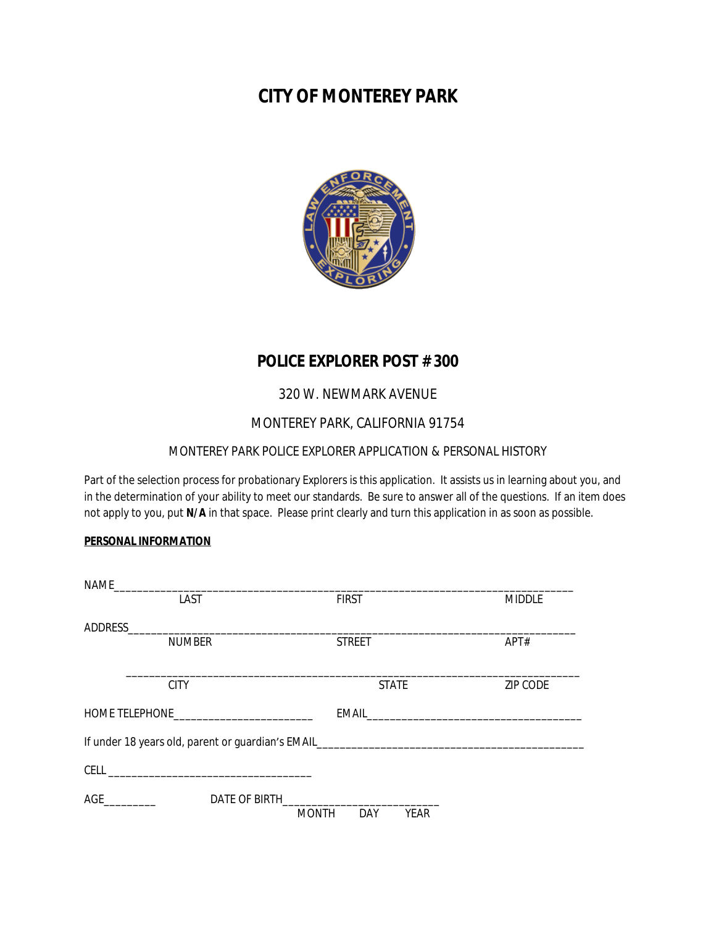# **CITY OF MONTEREY PARK**



# **POLICE EXPLORER POST # 300**

# 320 W. NEWMARK AVENUE

## MONTEREY PARK, CALIFORNIA 91754

### MONTEREY PARK POLICE EXPLORER APPLICATION & PERSONAL HISTORY

Part of the selection process for probationary Explorers is this application. It assists us in learning about you, and in the determination of your ability to meet our standards. Be sure to answer all of the questions. If an item does not apply to you, put **N/A** in that space. Please print clearly and turn this application in as soon as possible.

#### **PERSONAL INFORMATION**

|  | LAST          | <b>FIRST</b>                                                                                                                                                                                                                        | <b>MIDDLE</b>   |
|--|---------------|-------------------------------------------------------------------------------------------------------------------------------------------------------------------------------------------------------------------------------------|-----------------|
|  |               |                                                                                                                                                                                                                                     |                 |
|  | <b>NUMBER</b> | <b>STREET</b>                                                                                                                                                                                                                       | APT#            |
|  |               |                                                                                                                                                                                                                                     |                 |
|  | <b>CITY</b>   | <b>STATE</b>                                                                                                                                                                                                                        | <b>ZIP CODE</b> |
|  |               |                                                                                                                                                                                                                                     |                 |
|  |               | If under 18 years old, parent or quardian's EMAIL <b>EXAMPLE AND THE SECTION</b> CONDUCTS OF THE SECTION OF THE SECTION OF THE SECTION OF THE SECTION OF THE SECTION OF THE SECTION OF THE SECTION OF THE SECTION OF THE SECTION OF |                 |
|  |               |                                                                                                                                                                                                                                     |                 |
|  | AGE           | DATE OF BIRTH<br><b>MONTH</b><br>DAY<br><b>YEAR</b>                                                                                                                                                                                 |                 |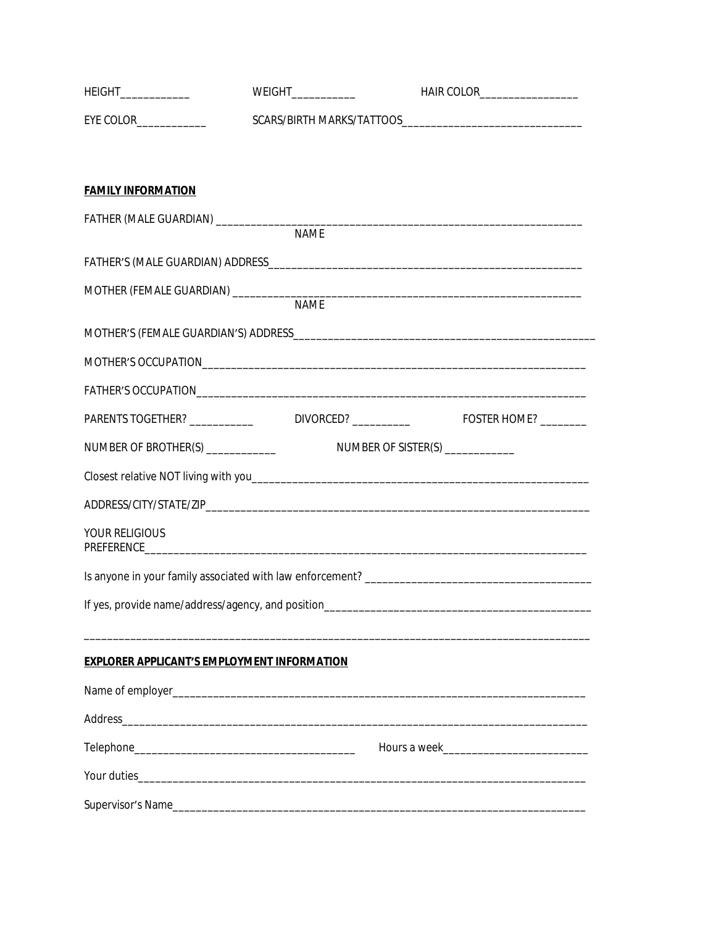| HEIGHT______________      | <b>WEIGHT_____________</b>                                      | HAIR COLOR___________________ |
|---------------------------|-----------------------------------------------------------------|-------------------------------|
|                           |                                                                 |                               |
|                           |                                                                 |                               |
| <b>FAMILY INFORMATION</b> |                                                                 |                               |
|                           | <b>NAME</b>                                                     |                               |
|                           |                                                                 |                               |
|                           |                                                                 |                               |
|                           |                                                                 |                               |
|                           |                                                                 |                               |
|                           |                                                                 |                               |
|                           |                                                                 |                               |
|                           |                                                                 |                               |
|                           |                                                                 |                               |
|                           |                                                                 |                               |
| YOUR RELIGIOUS            |                                                                 |                               |
|                           |                                                                 |                               |
|                           | If yes, provide name/address/agency, and position______________ |                               |
|                           |                                                                 |                               |
|                           | <b>EXPLORER APPLICANT'S EMPLOYMENT INFORMATION</b>              |                               |
|                           |                                                                 |                               |
|                           |                                                                 |                               |
|                           |                                                                 |                               |
|                           |                                                                 |                               |
|                           |                                                                 |                               |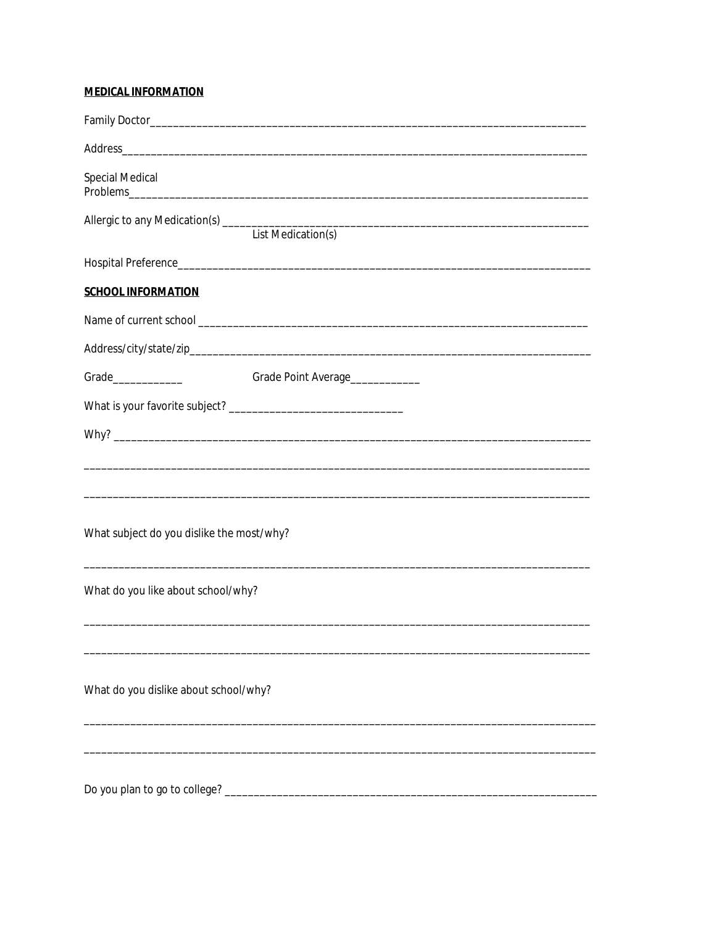# **MEDICAL INFORMATION**

| Special Medical                           |                                                                                   |  |  |  |
|-------------------------------------------|-----------------------------------------------------------------------------------|--|--|--|
|                                           | Allergic to any Medication(s) List Medication(s) List Medication(s)               |  |  |  |
|                                           |                                                                                   |  |  |  |
| <b>SCHOOL INFORMATION</b>                 |                                                                                   |  |  |  |
|                                           |                                                                                   |  |  |  |
|                                           |                                                                                   |  |  |  |
|                                           |                                                                                   |  |  |  |
|                                           |                                                                                   |  |  |  |
|                                           |                                                                                   |  |  |  |
|                                           | ,我们也不能在这里的时候,我们也不能会在这里,我们也不能会在这里,我们也不能会在这里的时候,我们也不能会在这里的时候,我们也不能会在这里的时候,我们也不能会在这里 |  |  |  |
|                                           |                                                                                   |  |  |  |
| What subject do you dislike the most/why? |                                                                                   |  |  |  |
| What do you like about school/why?        |                                                                                   |  |  |  |
|                                           |                                                                                   |  |  |  |
|                                           |                                                                                   |  |  |  |
| What do you dislike about school/why?     |                                                                                   |  |  |  |
|                                           |                                                                                   |  |  |  |
|                                           |                                                                                   |  |  |  |
| Do you plan to go to college?             |                                                                                   |  |  |  |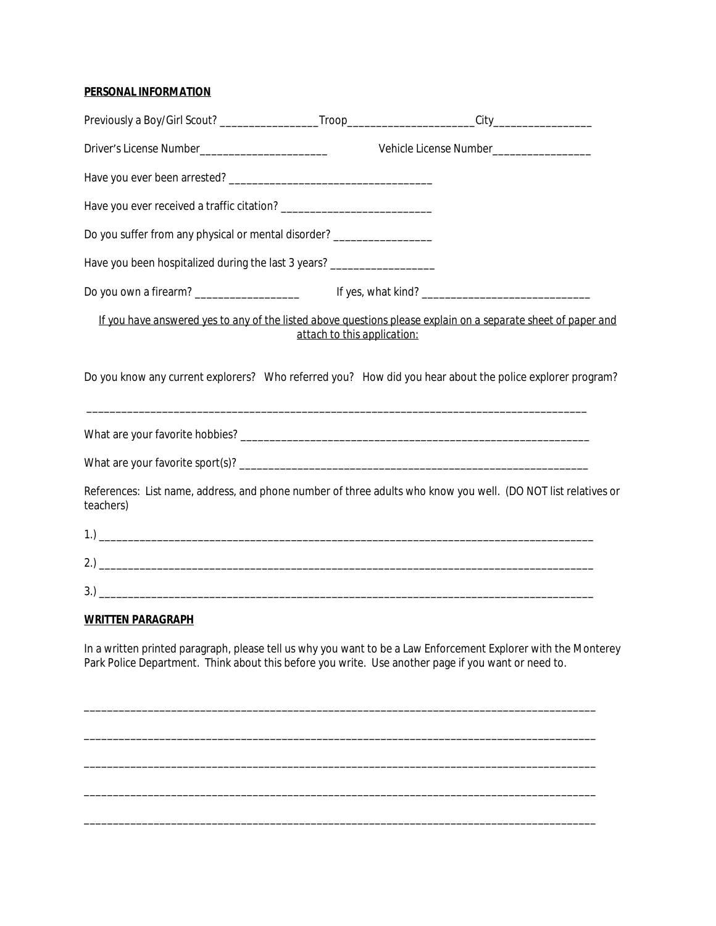### **PERSONAL INFORMATION**

|                                                                          |                             | Vehicle License Number___________________                                                                     |
|--------------------------------------------------------------------------|-----------------------------|---------------------------------------------------------------------------------------------------------------|
|                                                                          |                             |                                                                                                               |
|                                                                          |                             |                                                                                                               |
| Do you suffer from any physical or mental disorder? _________________    |                             |                                                                                                               |
| Have you been hospitalized during the last 3 years? ____________________ |                             |                                                                                                               |
| Do you own a firearm? _______________________                            |                             |                                                                                                               |
|                                                                          | attach to this application: | If you have answered yes to any of the listed above questions please explain on a separate sheet of paper and |
|                                                                          |                             | Do you know any current explorers? Who referred you? How did you hear about the police explorer program?      |
|                                                                          |                             |                                                                                                               |
|                                                                          |                             |                                                                                                               |
| teachers)                                                                |                             | References: List name, address, and phone number of three adults who know you well. (DO NOT list relatives or |
|                                                                          |                             |                                                                                                               |
|                                                                          |                             |                                                                                                               |
|                                                                          |                             |                                                                                                               |

#### **WRITTEN PARAGRAPH**

In a written printed paragraph, please tell us why you want to be a Law Enforcement Explorer with the Monterey Park Police Department. Think about this before you write. Use another page if you want or need to.

\_\_\_\_\_\_\_\_\_\_\_\_\_\_\_\_\_\_\_\_\_\_\_\_\_\_\_\_\_\_\_\_\_\_\_\_\_\_\_\_\_\_\_\_\_\_\_\_\_\_\_\_\_\_\_\_\_\_\_\_\_\_\_\_\_\_\_\_\_\_\_\_\_\_\_\_\_\_\_\_\_\_\_\_\_\_\_\_

\_\_\_\_\_\_\_\_\_\_\_\_\_\_\_\_\_\_\_\_\_\_\_\_\_\_\_\_\_\_\_\_\_\_\_\_\_\_\_\_\_\_\_\_\_\_\_\_\_\_\_\_\_\_\_\_\_\_\_\_\_\_\_\_\_\_\_\_\_\_\_\_\_\_\_\_\_\_\_\_\_\_\_\_\_\_\_\_

\_\_\_\_\_\_\_\_\_\_\_\_\_\_\_\_\_\_\_\_\_\_\_\_\_\_\_\_\_\_\_\_\_\_\_\_\_\_\_\_\_\_\_\_\_\_\_\_\_\_\_\_\_\_\_\_\_\_\_\_\_\_\_\_\_\_\_\_\_\_\_\_\_\_\_\_\_\_\_\_\_\_\_\_\_\_\_\_

\_\_\_\_\_\_\_\_\_\_\_\_\_\_\_\_\_\_\_\_\_\_\_\_\_\_\_\_\_\_\_\_\_\_\_\_\_\_\_\_\_\_\_\_\_\_\_\_\_\_\_\_\_\_\_\_\_\_\_\_\_\_\_\_\_\_\_\_\_\_\_\_\_\_\_\_\_\_\_\_\_\_\_\_\_\_\_\_

\_\_\_\_\_\_\_\_\_\_\_\_\_\_\_\_\_\_\_\_\_\_\_\_\_\_\_\_\_\_\_\_\_\_\_\_\_\_\_\_\_\_\_\_\_\_\_\_\_\_\_\_\_\_\_\_\_\_\_\_\_\_\_\_\_\_\_\_\_\_\_\_\_\_\_\_\_\_\_\_\_\_\_\_\_\_\_\_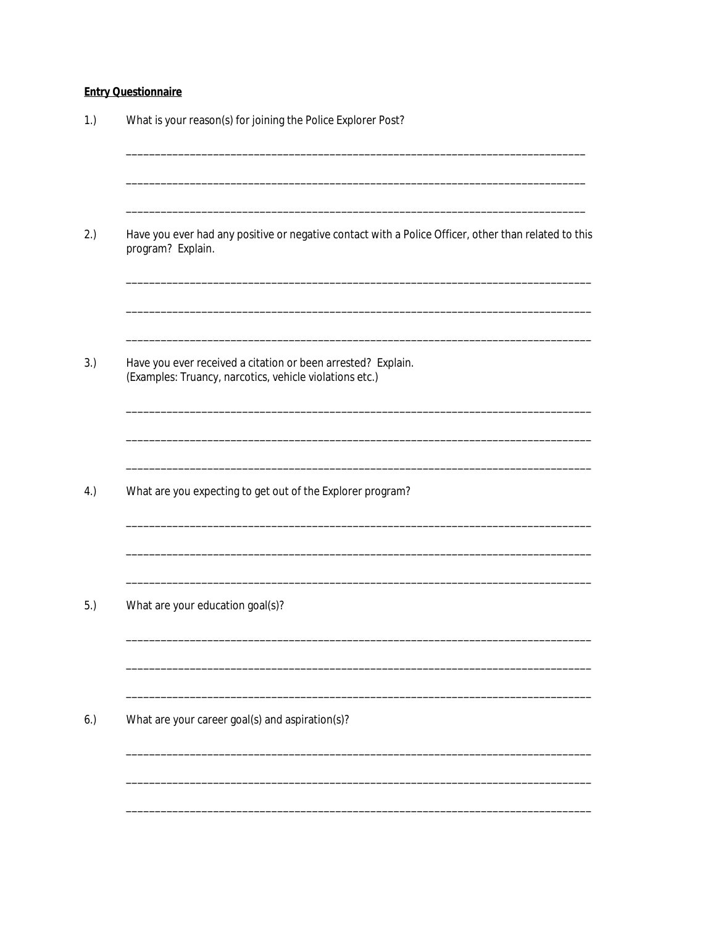# **Entry Questionnaire**

| What is your reason(s) for joining the Police Explorer Post?                                                              |
|---------------------------------------------------------------------------------------------------------------------------|
| Have you ever had any positive or negative contact with a Police Officer, other than related to this<br>program? Explain. |
| Have you ever received a citation or been arrested? Explain.<br>(Examples: Truancy, narcotics, vehicle violations etc.)   |
| What are you expecting to get out of the Explorer program?                                                                |
| What are your education goal(s)?                                                                                          |
| What are your career goal(s) and aspiration(s)?                                                                           |
|                                                                                                                           |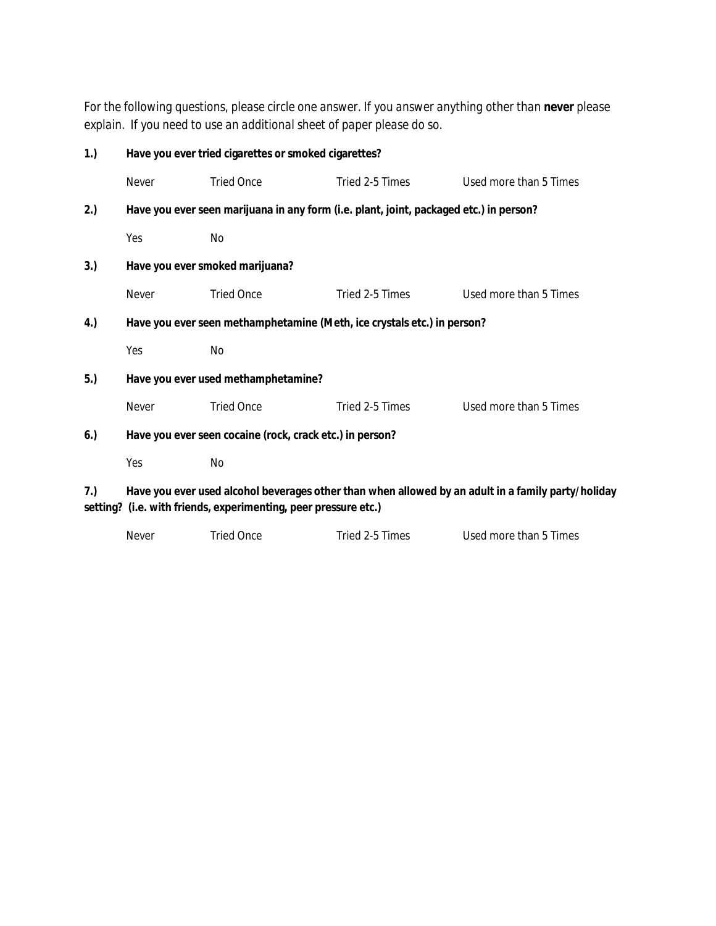*For the following questions, please circle one answer. If you answer anything other than never please explain. If you need to use an additional sheet of paper please do so.*

| 1.) |                                                                                        | Have you ever tried cigarettes or smoked cigarettes?            |                 |                                                                                                    |  |
|-----|----------------------------------------------------------------------------------------|-----------------------------------------------------------------|-----------------|----------------------------------------------------------------------------------------------------|--|
|     | Never                                                                                  | <b>Tried Once</b>                                               | Tried 2-5 Times | Used more than 5 Times                                                                             |  |
| 2.) | Have you ever seen marijuana in any form (i.e. plant, joint, packaged etc.) in person? |                                                                 |                 |                                                                                                    |  |
|     | Yes                                                                                    | No                                                              |                 |                                                                                                    |  |
| 3.) |                                                                                        | Have you ever smoked marijuana?                                 |                 |                                                                                                    |  |
|     | Never                                                                                  | <b>Tried Once</b>                                               | Tried 2-5 Times | Used more than 5 Times                                                                             |  |
| 4.) | Have you ever seen methamphetamine (Meth, ice crystals etc.) in person?                |                                                                 |                 |                                                                                                    |  |
|     | Yes                                                                                    | No                                                              |                 |                                                                                                    |  |
| 5.) | Have you ever used methamphetamine?                                                    |                                                                 |                 |                                                                                                    |  |
|     | Never                                                                                  | <b>Tried Once</b>                                               | Tried 2-5 Times | Used more than 5 Times                                                                             |  |
| 6.) | Have you ever seen cocaine (rock, crack etc.) in person?                               |                                                                 |                 |                                                                                                    |  |
|     | Yes                                                                                    | No                                                              |                 |                                                                                                    |  |
| 7.) |                                                                                        | setting? (i.e. with friends, experimenting, peer pressure etc.) |                 | Have you ever used alcohol beverages other than when allowed by an adult in a family party/holiday |  |

| Never | Tried Once | Tried 2-5 Times | Used more than 5 Times |
|-------|------------|-----------------|------------------------|
|       |            |                 |                        |